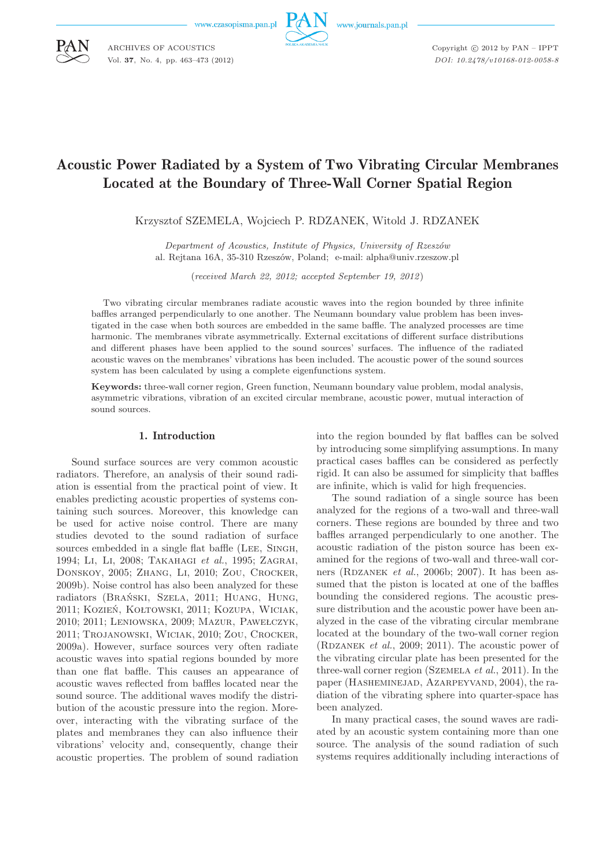

Copyright  $\odot$  2012 by PAN - IPPT *DOI: 10.2478/v10168-012-0058-8*

# Acoustic Power Radiated by a System of Two Vibrating Circular Membranes Located at the Boundary of Three-Wall Corner Spatial Region

Krzysztof SZEMELA, Wojciech P. RDZANEK, Witold J. RDZANEK

*Department of Acoustics, Institute of Physics, University of Rzeszów* al. Rejtana 16A, 35-310 Rzeszów, Poland; e-mail: alpha@univ.rzeszow.pl

(*received March 22, 2012; accepted September 19, 2012*)

Two vibrating circular membranes radiate acoustic waves into the region bounded by three infinite baffles arranged perpendicularly to one another. The Neumann boundary value problem has been investigated in the case when both sources are embedded in the same baffle. The analyzed processes are time harmonic. The membranes vibrate asymmetrically. External excitations of different surface distributions and different phases have been applied to the sound sources' surfaces. The influence of the radiated acoustic waves on the membranes' vibrations has been included. The acoustic power of the sound sources system has been calculated by using a complete eigenfunctions system.

**Keywords:** three-wall corner region, Green function, Neumann boundary value problem, modal analysis, asymmetric vibrations, vibration of an excited circular membrane, acoustic power, mutual interaction of sound sources.

# 1. Introduction

Sound surface sources are very common acoustic radiators. Therefore, an analysis of their sound radiation is essential from the practical point of view. It enables predicting acoustic properties of systems containing such sources. Moreover, this knowledge can be used for active noise control. There are many studies devoted to the sound radiation of surface sources embedded in a single flat baffle (Lee, Singh, 1994; Li, Li, 2008; Takahagi *et al.*, 1995; Zagrai, Donskoy, 2005; Zhang, Li, 2010; Zou, Crocker, 2009b). Noise control has also been analyzed for these radiators (Brański, Szela, 2011; Huang, Hung, 2011; Kozień, Kołtowski, 2011; Kozupa, Wiciak, 2010; 2011; Leniowska, 2009; Mazur, Pawełczyk, 2011; Trojanowski, Wiciak, 2010; Zou, Crocker, 2009a). However, surface sources very often radiate acoustic waves into spatial regions bounded by more than one flat baffle. This causes an appearance of acoustic waves reflected from baffles located near the sound source. The additional waves modify the distribution of the acoustic pressure into the region. Moreover, interacting with the vibrating surface of the plates and membranes they can also influence their vibrations' velocity and, consequently, change their acoustic properties. The problem of sound radiation into the region bounded by flat baffles can be solved by introducing some simplifying assumptions. In many practical cases baffles can be considered as perfectly rigid. It can also be assumed for simplicity that baffles are infinite, which is valid for high frequencies.

The sound radiation of a single source has been analyzed for the regions of a two-wall and three-wall corners. These regions are bounded by three and two baffles arranged perpendicularly to one another. The acoustic radiation of the piston source has been examined for the regions of two-wall and three-wall corners (RDZANEK *et al.*, 2006b; 2007). It has been assumed that the piston is located at one of the baffles bounding the considered regions. The acoustic pressure distribution and the acoustic power have been analyzed in the case of the vibrating circular membrane located at the boundary of the two-wall corner region (RDZANEK  $et \ al.,\ 2009;\ 2011$ ). The acoustic power of the vibrating circular plate has been presented for the three-wall corner region (Szemela *et al.*, 2011). In the paper (HASHEMINEJAD, AZARPEYVAND, 2004), the radiation of the vibrating sphere into quarter-space has been analyzed.

In many practical cases, the sound waves are radiated by an acoustic system containing more than one source. The analysis of the sound radiation of such systems requires additionally including interactions of



ARCHIVES OF ACOUSTICS Vol. **37**, No. 4, pp. 463–473 (2012)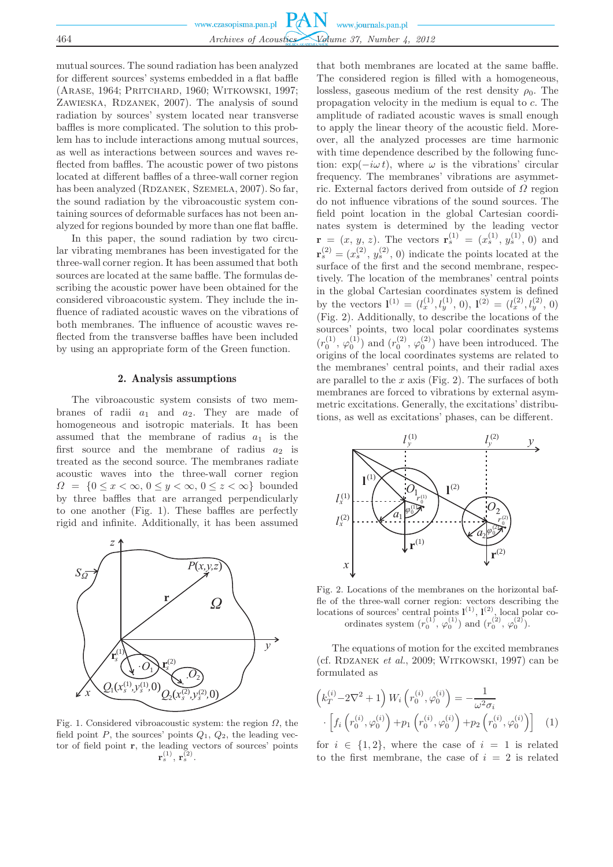mutual sources. The sound radiation has been analyzed for different sources' systems embedded in a flat baffle (Arase, 1964; Pritchard, 1960; Witkowski, 1997; ZAWIESKA, RDZANEK, 2007). The analysis of sound radiation by sources' system located near transverse baffles is more complicated. The solution to this problem has to include interactions among mutual sources, as well as interactions between sources and waves reflected from baffles. The acoustic power of two pistons located at different baffles of a three-wall corner region has been analyzed (RDZANEK, SZEMELA, 2007). So far, the sound radiation by the vibroacoustic system containing sources of deformable surfaces has not been analyzed for regions bounded by more than one flat baffle.

In this paper, the sound radiation by two circular vibrating membranes has been investigated for the three-wall corner region. It has been assumed that both sources are located at the same baffle. The formulas describing the acoustic power have been obtained for the considered vibroacoustic system. They include the influence of radiated acoustic waves on the vibrations of both membranes. The influence of acoustic waves reflected from the transverse baffles have been included by using an appropriate form of the Green function.

### 2. Analysis assumptions

The vibroacoustic system consists of two membranes of radii  $a_1$  and  $a_2$ . They are made of homogeneous and isotropic materials. It has been assumed that the membrane of radius  $a_1$  is the first source and the membrane of radius  $a_2$  is treated as the second source. The membranes radiate acoustic waves into the three-wall corner region  $\Omega = \{0 \leq x < \infty, 0 \leq y < \infty, 0 \leq z < \infty\}$  bounded by three baffles that are arranged perpendicularly to one another (Fig. 1). These baffles are perfectly rigid and infinite. Additionally, it has been assumed



Fig. 1. Considered vibroacoustic system: the region  $\Omega$ , the field point P, the sources' points  $Q_1$ ,  $Q_2$ , the leading vector of field point **r**, the leading vectors of sources' points  $\mathbf{r}_s^{(1)},\,\mathbf{r}_s^{(2)}.$ 

that both membranes are located at the same baffle. The considered region is filled with a homogeneous, lossless, gaseous medium of the rest density  $\rho_0$ . The propagation velocity in the medium is equal to c. The amplitude of radiated acoustic waves is small enough to apply the linear theory of the acoustic field. Moreover, all the analyzed processes are time harmonic with time dependence described by the following function:  $\exp(-i\omega t)$ , where  $\omega$  is the vibrations' circular frequency. The membranes' vibrations are asymmetric. External factors derived from outside of  $\Omega$  region do not influence vibrations of the sound sources. The field point location in the global Cartesian coordinates system is determined by the leading vector  $\mathbf{r} = (x, y, z)$ . The vectors  $\mathbf{r}_s^{(1)} = (x_s^{(1)}, y_s^{(1)}, 0)$  and  $\mathbf{r}_s^{(2)} = (x_s^{(2)}, y_s^{(2)}, 0)$  indicate the points located at the surface of the first and the second membrane, respectively. The location of the membranes' central points in the global Cartesian coordinates system is defined by the vectors  $\mathbf{l}^{(1)} = (l_x^{(1)}, l_y^{(1)}, 0), \mathbf{l}^{(2)} = (l_x^{(2)}, l_y^{(2)}, 0)$ (Fig. 2). Additionally, to describe the locations of the sources' points, two local polar coordinates systems  $(r_0^{(1)}, \varphi_0^{(1)})$  and  $(r_0^{(2)}, \varphi_0^{(2)})$  have been introduced. The origins of the local coordinates systems are related to the membranes' central points, and their radial axes are parallel to the  $x$  axis (Fig. 2). The surfaces of both membranes are forced to vibrations by external asymmetric excitations. Generally, the excitations' distributions, as well as excitations' phases, can be different.



Fig. 2. Locations of the membranes on the horizontal baffle of the three-wall corner region: vectors describing the locations of sources' central points  $\mathbf{l}^{(1)}$ ,  $\mathbf{l}^{(2)}$ , local polar coordinates system  $(r_0^{(1)}, \varphi_0^{(1)})$  and  $(r_0^{(2)}, \varphi_0^{(2)})$ .

The equations of motion for the excited membranes (cf. RDZANEK *et al.*, 2009; WITKOWSKI, 1997) can be formulated as

$$
\left(k_T^{(i)} - 2\nabla^2 + 1\right) W_i \left(r_0^{(i)}, \varphi_0^{(i)}\right) = -\frac{1}{\omega^2 \sigma_i} \cdot \left[f_i \left(r_0^{(i)}, \varphi_0^{(i)}\right) + p_1 \left(r_0^{(i)}, \varphi_0^{(i)}\right) + p_2 \left(r_0^{(i)}, \varphi_0^{(i)}\right)\right]
$$
(1)

for  $i \in \{1,2\}$ , where the case of  $i = 1$  is related to the first membrane, the case of  $i = 2$  is related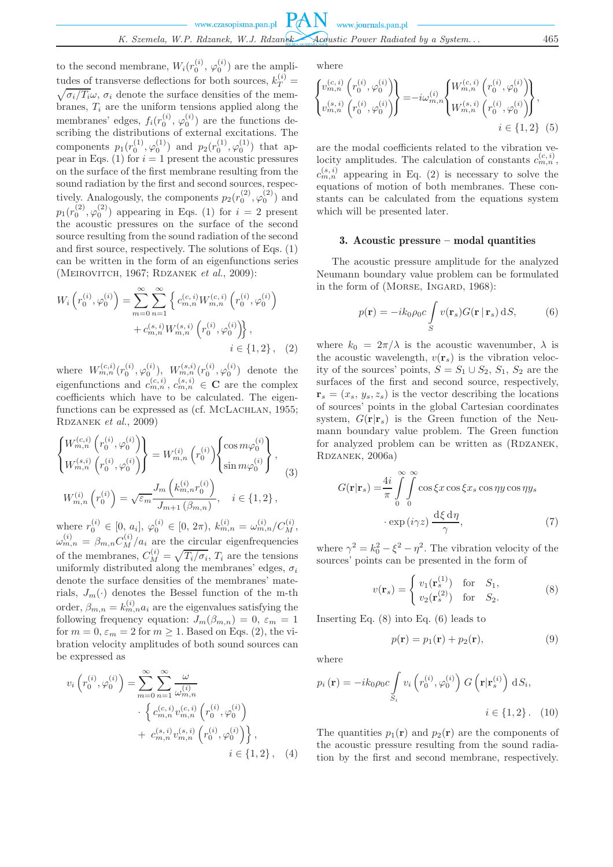to the second membrane,  $W_i(r_0^{(i)}, \varphi_0^{(i)})$  are the amplitudes of transverse deflections for both sources,  $k_T^{(i)}$  =  $\sqrt{\sigma_i/T_i}\omega$ ,  $\sigma_i$  denote the surface densities of the membranes,  $T_i$  are the uniform tensions applied along the membranes' edges,  $f_i(r_0^{(i)}, \varphi_0^{(i)})$  are the functions describing the distributions of external excitations. The components  $p_1(r_0^{(1)}, \varphi_0^{(1)})$  and  $p_2(r_0^{(1)}, \varphi_0^{(1)})$  that appear in Eqs. (1) for  $i = 1$  present the acoustic pressures on the surface of the first membrane resulting from the sound radiation by the first and second sources, respectively. Analogously, the components  $p_2(r_0^{(2)}, \varphi_0^{(2)})$  and  $p_1(r_0^{(2)}, \varphi_0^{(2)})$  appearing in Eqs. (1) for  $i = 2$  present the acoustic pressures on the surface of the second source resulting from the sound radiation of the second and first source, respectively. The solutions of Eqs.  $(1)$ can be written in the form of an eigenfunctions series (MEIROVITCH, 1967; RDZANEK *et al.*, 2009):

$$
W_{i}\left(r_{0}^{(i)},\varphi_{0}^{(i)}\right) = \sum_{m=0}^{\infty} \sum_{n=1}^{\infty} \left\{ c_{m,n}^{(c,i)} W_{m,n}^{(c,i)} \left(r_{0}^{(i)},\varphi_{0}^{(i)}\right) + c_{m,n}^{(s,i)} W_{m,n}^{(s,i)} \left(r_{0}^{(i)},\varphi_{0}^{(i)}\right) \right\},\
$$
  
 $i \in \{1,2\}, \quad (2)$ 

where  $W_{m,n}^{(c,i)}(r_0^{(i)},\varphi_0^{(i)}),\ W_{m,n}^{(s,i)}(r_0^{(i)},\varphi_0^{(i)})$  denote the eigenfunctions and  $c_{m,n}^{(c,i)}$ ,  $c_{m,n}^{(s,i)} \in \mathbf{C}$  are the complex coefficients which have to be calculated. The eigenfunctions can be expressed as (cf. McLACHLAN, 1955; RDZANEK *et al.*, 2009)

$$
\begin{Bmatrix}\nW_{m,n}^{(c,i)}\left(r_0^{(i)}, \varphi_0^{(i)}\right) \\
W_{m,n}^{(s,i)}\left(r_0^{(i)}, \varphi_0^{(i)}\right)\n\end{Bmatrix} = W_{m,n}^{(i)}\left(r_0^{(i)}\right) \begin{Bmatrix}\n\cos m\varphi_0^{(i)} \\
\sin m\varphi_0^{(i)}\n\end{Bmatrix},
$$
\n
$$
W_{m,n}^{(i)}\left(r_0^{(i)}\right) = \sqrt{\varepsilon_m} \frac{J_m\left(k_{m,n}^{(i)}r_0^{(i)}\right)}{J_{m+1}\left(\beta_{m,n}\right)}, \quad i \in \{1, 2\},
$$
\n(3)

where  $r_0^{(i)} \in [0, a_i], \varphi_0^{(i)} \in [0, 2\pi), k_{m,n}^{(i)} = \omega_{m,n}^{(i)}/C_M^{(i)},$  $\omega_{m,n}^{(i)} = \beta_{m,n} C_M^{(i)}/a_i$  are the circular eigenfrequencies of the membranes,  $C_M^{(i)} = \sqrt{T_i/\sigma_i}$ ,  $T_i$  are the tensions uniformly distributed along the membranes' edges,  $\sigma_i$ denote the surface densities of the membranes' materials,  $J_m(\cdot)$  denotes the Bessel function of the m-th order,  $\beta_{m,n} = k_{m,n}^{(i)} a_i$  are the eigenvalues satisfying the following frequency equation:  $J_m(\beta_{m,n}) = 0$ ,  $\varepsilon_m = 1$ for  $m = 0$ ,  $\varepsilon_m = 2$  for  $m \ge 1$ . Based on Eqs. (2), the vibration velocity amplitudes of both sound sources can be expressed as

$$
v_i\left(r_0^{(i)}, \varphi_0^{(i)}\right) = \sum_{m=0}^{\infty} \sum_{n=1}^{\infty} \frac{\omega}{\omega_{m,n}^{(i)}}
$$

$$
\left\{ c_{m,n}^{(c,i)} v_{m,n}^{(c,i)} \left(r_0^{(i)}, \varphi_0^{(i)}\right) + c_{m,n}^{(s,i)} v_{m,n}^{(s,i)} \left(r_0^{(i)}, \varphi_0^{(i)}\right) \right\},\
$$

$$
i \in \{1, 2\}, \quad (4)
$$

where

$$
\begin{Bmatrix} v_{m,n}^{(c,i)} \left( r_0^{(i)}, \varphi_0^{(i)} \right) \\ v_{m,n}^{(s,i)} \left( r_0^{(i)}, \varphi_0^{(i)} \right) \end{Bmatrix} = -i \omega_{m,n}^{(i)} \begin{Bmatrix} W_{m,n}^{(c,i)} \left( r_0^{(i)}, \varphi_0^{(i)} \right) \\ W_{m,n}^{(s,i)} \left( r_0^{(i)}, \varphi_0^{(i)} \right) \end{Bmatrix},
$$
  
\n $i \in \{1, 2\} \tag{5}$ 

are the modal coefficients related to the vibration velocity amplitudes. The calculation of constants  $c_{m,n}^{(c,i)}$ ,  $c_{m,n}^{(s,i)}$  appearing in Eq. (2) is necessary to solve the equations of motion of both membranes. These constants can be calculated from the equations system which will be presented later.

#### 3. Acoustic pressure – modal quantities

The acoustic pressure amplitude for the analyzed Neumann boundary value problem can be formulated in the form of (MORSE, INGARD, 1968):

$$
p(\mathbf{r}) = -ik_0 \rho_0 c \int_S v(\mathbf{r}_s) G(\mathbf{r} | \mathbf{r}_s) \, dS,
$$
 (6)

where  $k_0 = 2\pi/\lambda$  is the acoustic wavenumber,  $\lambda$  is the acoustic wavelength,  $v(\mathbf{r}_s)$  is the vibration velocity of the sources' points,  $S = S_1 \cup S_2$ ,  $S_1$ ,  $S_2$  are the surfaces of the first and second source, respectively,  $\mathbf{r}_s = (x_s, y_s, z_s)$  is the vector describing the locations of sources' points in the global Cartesian coordinates system,  $G(\mathbf{r}|\mathbf{r}_s)$  is the Green function of the Neumann boundary value problem. The Green function for analyzed problem can be written as (RDZANEK, RDZANEK, 2006a)

$$
G(\mathbf{r}|\mathbf{r}_s) = \frac{4i}{\pi} \int_{0}^{\infty} \int_{0}^{\infty} \cos \xi x \cos \xi x_s \cos \eta y \cos \eta y_s
$$

$$
\cdot \exp(i\gamma z) \frac{d\xi d\eta}{\gamma}, \tag{7}
$$

where  $\gamma^2 = k_0^2 - \xi^2 - \eta^2$ . The vibration velocity of the sources' points can be presented in the form of

$$
v(\mathbf{r}_s) = \begin{cases} v_1(\mathbf{r}_s^{(1)}) & \text{for } S_1, \\ v_2(\mathbf{r}_s^{(2)}) & \text{for } S_2. \end{cases}
$$
 (8)

Inserting Eq. (8) into Eq. (6) leads to

$$
p(\mathbf{r}) = p_1(\mathbf{r}) + p_2(\mathbf{r}),\tag{9}
$$

where

$$
p_i(\mathbf{r}) = -ik_0 \rho_0 c \int_{S_i} v_i\left(r_0^{(i)}, \varphi_0^{(i)}\right) G\left(\mathbf{r}|\mathbf{r}_s^{(i)}\right) \, \mathrm{d}S_i,
$$
  

$$
i \in \{1, 2\}.\tag{10}
$$

The quantities  $p_1(\mathbf{r})$  and  $p_2(\mathbf{r})$  are the components of the acoustic pressure resulting from the sound radiation by the first and second membrane, respectively.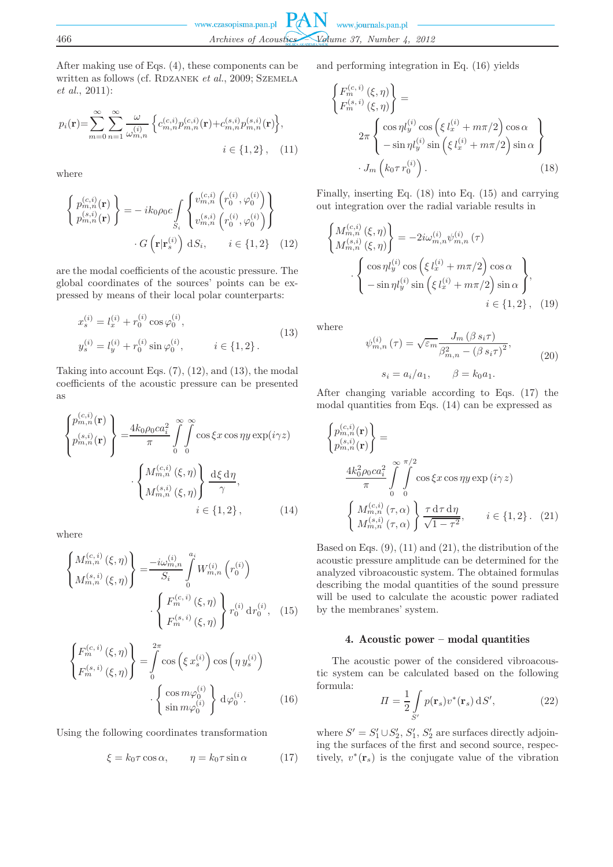After making use of Eqs. (4), these components can be written as follows (cf. RDZANEK *et al.*, 2009; SZEMELA *et al.*, 2011):

$$
p_i(\mathbf{r}) = \sum_{m=0}^{\infty} \sum_{n=1}^{\infty} \frac{\omega}{\omega_{m,n}^{(i)}} \left\{ c_{m,n}^{(c,i)} p_{m,n}^{(c,i)}(\mathbf{r}) + c_{m,n}^{(s,i)} p_{m,n}^{(s,i)}(\mathbf{r}) \right\},
$$
  
  $i \in \{1, 2\},$  (11)

where

$$
\begin{Bmatrix} p_{m,n}^{(c,i)}(\mathbf{r}) \\ p_{m,n}^{(s,i)}(\mathbf{r}) \end{Bmatrix} = -ik_0 \rho_0 c \int_{S_i} \begin{Bmatrix} v_{m,n}^{(c,i)} (r_0^{(i)}, \varphi_0^{(i)}) \\ v_{m,n}^{(s,i)} (r_0^{(i)}, \varphi_0^{(i)}) \end{Bmatrix}
$$

$$
\cdot G\left(\mathbf{r}|\mathbf{r}_s^{(i)}\right) \, \mathrm{d}S_i, \qquad i \in \{1, 2\} \quad (12)
$$

are the modal coefficients of the acoustic pressure. The global coordinates of the sources' points can be expressed by means of their local polar counterparts:

$$
x_s^{(i)} = l_x^{(i)} + r_0^{(i)} \cos \varphi_0^{(i)},
$$
  
\n
$$
y_s^{(i)} = l_y^{(i)} + r_0^{(i)} \sin \varphi_0^{(i)}, \qquad i \in \{1, 2\}.
$$
\n(13)

Taking into account Eqs.  $(7)$ ,  $(12)$ , and  $(13)$ , the modal coefficients of the acoustic pressure can be presented as

$$
\begin{Bmatrix} p_{m,n}^{(c,i)}(\mathbf{r}) \\ p_{m,n}^{(s,i)}(\mathbf{r}) \end{Bmatrix} = \frac{4k_0 \rho_0 c a_i^2}{\pi} \int_0^{\infty} \int_0^{\infty} \cos \xi x \cos \eta y \exp(i\gamma z)
$$

$$
\cdot \begin{Bmatrix} M_{m,n}^{(c,i)}(\xi, \eta) \\ M_{m,n}^{(s,i)}(\xi, \eta) \end{Bmatrix} \frac{d\xi d\eta}{\gamma},
$$

$$
i \in \{1, 2\}, \qquad (14)
$$

where

$$
\begin{Bmatrix}\nM_{m,n}^{(c,i)}(\xi,\eta) \\
M_{m,n}^{(s,i)}(\xi,\eta)\n\end{Bmatrix} = \frac{-i\omega_{m,n}^{(i)}}{S_i} \int_0^{a_i} W_{m,n}^{(i)}(r_0^{(i)}) \cdot \left\{\n\begin{aligned}\nF_m^{(c,i)}(\xi,\eta) \\
F_m^{(s,i)}(\xi,\eta)\n\end{aligned}\n\right\} r_0^{(i)} dr_0^{(i)}, \quad (15)
$$

$$
\begin{Bmatrix} F_m^{(c,i)}(\xi,\eta) \\ F_m^{(s,i)}(\xi,\eta) \end{Bmatrix} = \int_0^{2\pi} \cos\left(\xi x_s^{(i)}\right) \cos\left(\eta y_s^{(i)}\right) \cdot \begin{Bmatrix} \cos m\varphi_0^{(i)} \\ \sin m\varphi_0^{(i)} \end{Bmatrix} d\varphi_0^{(i)}.
$$
 (16)

Using the following coordinates transformation

$$
\xi = k_0 \tau \cos \alpha, \qquad \eta = k_0 \tau \sin \alpha \tag{17}
$$

and performing integration in Eq. (16) yields

$$
\begin{cases}\nF_m^{(c,i)}(\xi,\eta) \\
F_m^{(s,i)}(\xi,\eta)\n\end{cases} = \n2\pi \begin{cases}\n\cos\eta l_y^{(i)}\cos\left(\xi l_x^{(i)} + m\pi/2\right)\cos\alpha \\
-\sin\eta l_y^{(i)}\sin\left(\xi l_x^{(i)} + m\pi/2\right)\sin\alpha\n\end{cases} \n\cdot J_m(k_0\tau r_0^{(i)}).
$$
\n(18)

Finally, inserting Eq. (18) into Eq. (15) and carrying out integration over the radial variable results in

$$
\begin{aligned}\n\left\{\begin{aligned}\nM_{m,n}^{(c,i)}(\xi,\eta) \\
M_{m,n}^{(s,i)}(\xi,\eta)\n\end{aligned}\right\} &= -2i\omega_{m,n}^{(i)}\psi_{m,n}^{(i)}(\tau) \\
\cdot \left\{\begin{aligned}\n\cos\eta l_y^{(i)}\cos\left(\xi l_x^{(i)} + m\pi/2\right)\cos\alpha \\
-\sin\eta l_y^{(i)}\sin\left(\xi l_x^{(i)} + m\pi/2\right)\sin\alpha\n\end{aligned}\right\},\n\left.\begin{aligned}\n\cdot & (19)\n\end{aligned}\right.
$$

where

$$
\psi_{m,n}^{(i)}(\tau) = \sqrt{\varepsilon_m} \frac{J_m(\beta s_i \tau)}{\beta_{m,n}^2 - (\beta s_i \tau)^2},
$$
\n
$$
s_i = a_i/a_1, \qquad \beta = k_0 a_1.
$$
\n(20)

After changing variable according to Eqs. (17) the modal quantities from Eqs. (14) can be expressed as

$$
\begin{cases}\np_{m,n}^{(c,i)}(\mathbf{r}) \\
p_{m,n}^{(s,i)}(\mathbf{r})\n\end{cases} = \n\frac{4k_0^2 \rho_0 c a_i^2}{\pi} \int_{0}^{\pi/2} \cos \xi x \cos \eta y \exp (i\gamma z)
$$
\n
$$
\begin{cases}\nM_{m,n}^{(c,i)}(\tau, \alpha) \\
M_{m,n}^{(s,i)}(\tau, \alpha)\n\end{cases} \frac{\tau \, \mathrm{d}\tau \, \mathrm{d}\eta}{\sqrt{1-\tau^2}}, \qquad i \in \{1, 2\}. \tag{21}
$$

Based on Eqs.  $(9)$ ,  $(11)$  and  $(21)$ , the distribution of the acoustic pressure amplitude can be determined for the analyzed vibroacoustic system. The obtained formulas describing the modal quantities of the sound pressure will be used to calculate the acoustic power radiated by the membranes' system.

# 4. Acoustic power – modal quantities

The acoustic power of the considered vibroacoustic system can be calculated based on the following formula:

$$
\Pi = \frac{1}{2} \int_{S'} p(\mathbf{r}_s) v^*(\mathbf{r}_s) \, dS', \tag{22}
$$

where  $S' = S_1' \cup S_2', S_1', S_2'$  are surfaces directly adjoining the surfaces of the first and second source, respectively,  $v^*(\mathbf{r}_s)$  is the conjugate value of the vibration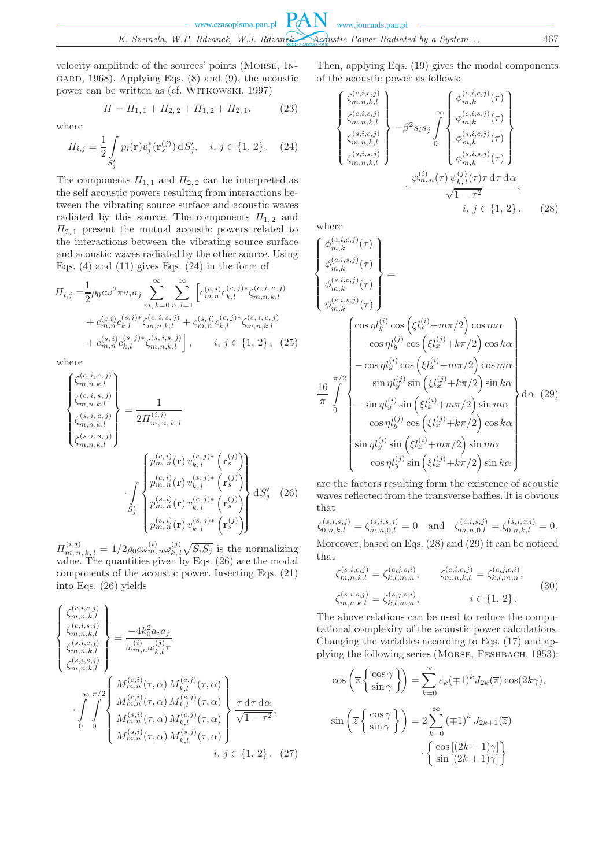velocity amplitude of the sources' points (Morse, In-GARD, 1968). Applying Eqs.  $(8)$  and  $(9)$ , the acoustic power can be written as (cf. WITKOWSKI, 1997)

$$
\Pi = \Pi_{1,1} + \Pi_{2,2} + \Pi_{1,2} + \Pi_{2,1},\tag{23}
$$

where

$$
\Pi_{i,j} = \frac{1}{2} \int_{S'_j} p_i(\mathbf{r}) v_j^*(\mathbf{r}_s^{(j)}) \, dS'_j, \quad i, j \in \{1, 2\} \,. \tag{24}
$$

The components  $\Pi_{1,1}$  and  $\Pi_{2,2}$  can be interpreted as the self acoustic powers resulting from interactions between the vibrating source surface and acoustic waves radiated by this source. The components  $\Pi_{1,2}$  and  $\Pi_{2,1}$  present the mutual acoustic powers related to the interactions between the vibrating source surface and acoustic waves radiated by the other source. Using Eqs.  $(4)$  and  $(11)$  gives Eqs.  $(24)$  in the form of

$$
II_{i,j} = \frac{1}{2}\rho_0 c\omega^2 \pi a_i a_j \sum_{m, k=0}^{\infty} \sum_{n,l=1}^{\infty} \left[ c_{m,n}^{(c,i)} c_{k,l}^{(c,j)*} \zeta_{m,n,k,l}^{(c,i,c,j)} + c_{m,n}^{(c,i)} c_{k,l}^{(s,j)*} \zeta_{m,n,k,l}^{(c,i,s,j)} + c_{m,n}^{(s,i)} c_{k,l}^{(s,j)*} \zeta_{m,n,k,l}^{(s,i,c,j)} + c_{m,n}^{(s,i)} c_{k,l}^{(s,j)*} \zeta_{m,n,k,l}^{(s,i,s,j)} \right], \quad i, j \in \{1, 2\}, \tag{25}
$$

where

$$
\begin{pmatrix}\n\zeta_{m,n,k,l}^{(c,i,c,j)} \\
\zeta_{m,n,k,l}^{(s,i,c,j)} \\
\zeta_{m,n,k,l}^{(s,i,c,j)}\n\end{pmatrix} = \frac{1}{2H_{m,n,k,l}^{(i,j)}} \\
\cdot \int_{S'_{j}}^{B_{m,n,k,l}} \begin{pmatrix}\np_{m,n}^{(c,i)}(\mathbf{r}) \, v_{k,l}^{(c,j)*}(\mathbf{r}_{s}^{(j)}) \\
p_{m,n}^{(c,i)}(\mathbf{r}) \, v_{k,l}^{(s,j)*}(\mathbf{r}_{s}^{(j)}) \\
\vdots \\
p_{m,n}^{(s,i)}(\mathbf{r}) \, v_{k,l}^{(c,j)*}(\mathbf{r}_{s}^{(j)})\n\end{pmatrix} dS'_{j} \quad (26)
$$

 $\Pi_{m,n,k,l}^{(i,j)} = 1/2\rho_0 c \omega_{m,n}^{(i)} \omega_{k,l}^{(j)} \sqrt{S_i S_j}$  is the normalizing value. The quantities given by Eqs. (26) are the modal components of the acoustic power. Inserting Eqs. (21) into Eqs. (26) yields

$$
\begin{cases}\n\zeta_{m,n,k,l}^{(c,i,c,j)} \\
\zeta_{m,n,k,l}^{(c,i,s,j)} \\
\zeta_{m,n,k,l}^{(s,i,c,j)} \\
\zeta_{m,n,k,l}^{(s,i,c,j)}\n\end{cases} = \frac{-4k_0^2 a_i a_j}{\omega_{m,n}^{(i)} \omega_{k,l}^{(j)} \pi}
$$
\n
$$
\cdot \int_{0}^{\infty} \int_{0}^{\pi/2} \begin{cases}\nM_{m,n}^{(c,i)}(\tau, \alpha) M_{k,l}^{(c,j)}(\tau, \alpha) \\
M_{m,n}^{(c,i)}(\tau, \alpha) M_{k,l}^{(s,j)}(\tau, \alpha) \\
M_{m,n}^{(s,i)}(\tau, \alpha) M_{k,l}^{(c,j)}(\tau, \alpha) \\
M_{m,n}^{(s,i)}(\tau, \alpha) M_{k,l}^{(s,j)}(\tau, \alpha)\n\end{cases} \frac{\tau \, d\tau \, d\alpha}{\sqrt{1-\tau^2}},
$$
\n
$$
i, j \in \{1, 2\}.
$$
 (27)

Then, applying Eqs. (19) gives the modal components of the acoustic power as follows:

$$
\begin{Bmatrix}\n\zeta_{m,n,k,l}^{(c,i,c,j)} \\
\zeta_{m,n,k,l}^{(c,i,s,j)} \\
\zeta_{m,n,k,l}^{(s,i,c,j)} \\
\zeta_{m,n,k,l}^{(s,i,s,j)}\n\end{Bmatrix} = \beta^2 s_i s_j \int_0^\infty \begin{Bmatrix}\n\phi_{m,k}^{(c,i,c,j)}(\tau) \\
\phi_{m,k}^{(c,i,s,j)}(\tau) \\
\phi_{m,k}^{(s,i,c,j)}(\tau) \\
\phi_{m,k}^{(s,i,s,j)}(\tau)\n\end{Bmatrix}
$$
\n
$$
\cdot \frac{\psi_{m,n}^{(i)}(\tau) \psi_{k,l}^{(j)}(\tau) \tau \, d\tau \, d\alpha}{\sqrt{1 - \tau^2}},
$$
\n*i, j \in \{1, 2\}, (28)*

where

$$
\begin{cases}\n\phi_{m,k}^{(c,i,c,j)}(\tau) \\
\phi_{m,k}^{(s,i,c,j)}(\tau) \\
\phi_{m,k}^{(s,i,c,j)}(\tau)\n\end{cases} = \n\begin{cases}\n\cos \eta l_y^{(i)} \cos \left(\xi l_x^{(i)} + m\pi/2\right) \cos m\alpha \\
\cos \eta l_y^{(j)} \cos \left(\xi l_x^{(j)} + k\pi/2\right) \cos k\alpha \\
-\cos \eta l_y^{(j)} \cos \left(\xi l_x^{(j)} + m\pi/2\right) \cos m\alpha \\
-\cos \eta l_y^{(i)} \cos \left(\xi l_x^{(i)} + m\pi/2\right) \cos m\alpha \\
-\sin \eta l_y^{(j)} \sin \left(\xi l_x^{(j)} + k\pi/2\right) \sin k\alpha \\
-\sin \eta l_y^{(i)} \sin \left(\xi l_x^{(i)} + m\pi/2\right) \sin m\alpha \\
\cos \eta l_y^{(j)} \cos \left(\xi l_x^{(j)} + k\pi/2\right) \cos k\alpha \\
\sin \eta l_y^{(i)} \sin \left(\xi l_x^{(i)} + m\pi/2\right) \sin m\alpha \\
\cos \eta l_y^{(j)} \sin \left(\xi l_x^{(j)} + k\pi/2\right) \sin k\alpha\n\end{cases}
$$

are the factors resulting form the existence of acoustic waves reflected from the transverse baffles. It is obvious that

 $\zeta_{0,n,k,l}^{(s,i,s,j)} = \zeta_{m,n,0,l}^{(s,i,s,j)} = 0$  and  $\zeta_{m,n,0,l}^{(c,i,s,j)} = \zeta_{0,n,k,l}^{(s,i,c,j)} = 0.$ Moreover, based on Eqs. (28) and (29) it can be noticed that

$$
\zeta_{m,n,k,l}^{(s,i,c,j)} = \zeta_{k,l,m,n}^{(c,j,s,i)}, \qquad \zeta_{m,n,k,l}^{(c,i,c,j)} = \zeta_{k,l,m,n}^{(c,j,c,i)}, \n\zeta_{m,n,k,l}^{(s,i,s,j)} = \zeta_{k,l,m,n}^{(s,j,s,i)}, \qquad i \in \{1, 2\}.
$$
\n(30)

The above relations can be used to reduce the computational complexity of the acoustic power calculations. Changing the variables according to Eqs. (17) and applying the following series (MORSE, FESHBACH, 1953):

$$
\cos\left(\overline{z}\left\{\frac{\cos\gamma}{\sin\gamma}\right\}\right) = \sum_{k=0}^{\infty} \varepsilon_k (\mp 1)^k J_{2k}(\overline{z}) \cos(2k\gamma),
$$

$$
\sin\left(\overline{z}\left\{\frac{\cos\gamma}{\sin\gamma}\right\}\right) = 2 \sum_{k=0}^{\infty} (\mp 1)^k J_{2k+1}(\overline{z})
$$

$$
\cdot \begin{cases} \cos\left[(2k+1)\gamma\right] \\ \sin\left[(2k+1)\gamma\right] \end{cases}
$$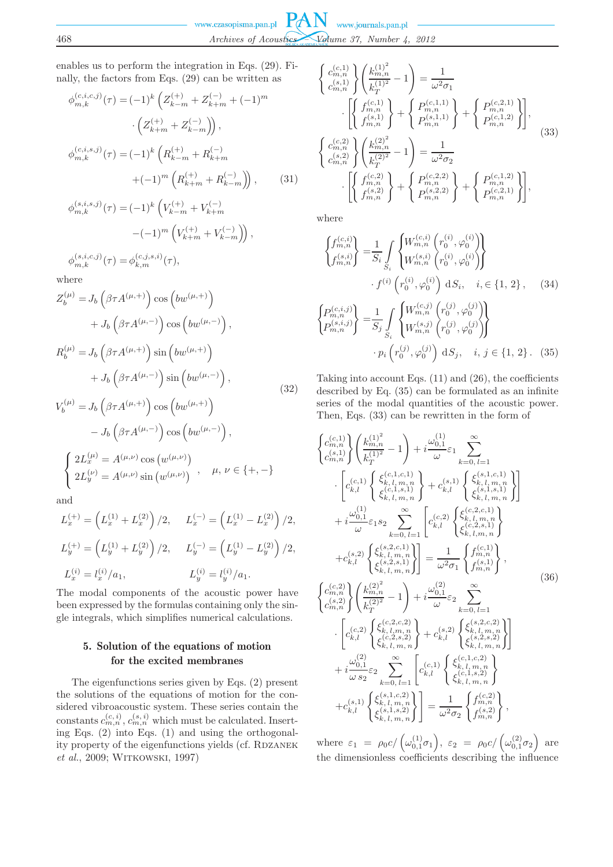enables us to perform the integration in Eqs. (29). Finally, the factors from Eqs. (29) can be written as

$$
\phi_{m,k}^{(c,i,c,j)}(\tau) = (-1)^k \left( Z_{k-m}^{(+)} + Z_{k+m}^{(-)} + (-1)^m \right. \left. \left( Z_{k+m}^{(+)} + Z_{k-m}^{(-)} \right) \right), \n\phi_{m,k}^{(c,i,s,j)}(\tau) = (-1)^k \left( R_{k-m}^{(+)} + R_{k+m}^{(-)} \right. \n\left. + (-1)^m \left( R_{k+m}^{(+)} + R_{k-m}^{(-)} \right) \right), \qquad (31) \n\phi_{m,k}^{(s,i,s,j)}(\tau) = (-1)^k \left( V_{k-m}^{(+)} + V_{k+m}^{(-)} \right. \n\left. - (-1)^m \left( V_{k+m}^{(+)} + V_{k-m}^{(-)} \right) \right), \n\phi_{m,k}^{(s,i,c,j)}(\tau) = \phi_{k,m}^{(c,j,s,i)}(\tau),
$$

where

$$
Z_b^{(\mu)} = J_b \left(\beta \tau A^{(\mu, +)}\right) \cos\left(b w^{(\mu, +)}\right)
$$
  
+ 
$$
J_b \left(\beta \tau A^{(\mu, -)}\right) \cos\left(b w^{(\mu, -)}\right),
$$
  

$$
R_b^{(\mu)} = J_b \left(\beta \tau A^{(\mu, +)}\right) \sin\left(b w^{(\mu, +)}\right)
$$
  
+ 
$$
J_b \left(\beta \tau A^{(\mu, -)}\right) \sin\left(b w^{(\mu, -)}\right),
$$
  

$$
V^{(\mu)} = I \left(\beta \tau A^{(\mu, +)}\right) \cos\left(b w^{(\mu, +)}\right)
$$
 (32)

$$
V_b^{(\mu)} = J_b \left(\beta \tau A^{(\mu, +)}\right) \cos\left(b w^{(\mu, +)}\right) - J_b \left(\beta \tau A^{(\mu, -)}\right) \cos\left(b w^{(\mu, -)}\right), \left\{\begin{aligned} & 2L_x^{(\mu)} = A^{(\mu, \nu)} \cos\left(w^{(\mu, \nu)}\right) \\ & 2L_y^{(\nu)} = A^{(\mu, \nu)} \sin\left(w^{(\mu, \nu)}\right) \end{aligned}, \quad \mu, \nu \in \{+, -\}
$$

and

$$
L_x^{(+)} = \left( L_x^{(1)} + L_x^{(2)} \right) / 2, \qquad L_x^{(-)} = \left( L_x^{(1)} - L_x^{(2)} \right) / 2,
$$
  
\n
$$
L_y^{(+)} = \left( L_y^{(1)} + L_y^{(2)} \right) / 2, \qquad L_y^{(-)} = \left( L_y^{(1)} - L_y^{(2)} \right) / 2,
$$
  
\n
$$
L_x^{(i)} = l_x^{(i)} / a_1, \qquad L_y^{(i)} = l_y^{(i)} / a_1.
$$

The modal components of the acoustic power have been expressed by the formulas containing only the single integrals, which simplifies numerical calculations.

# 5. Solution of the equations of motion for the excited membranes

The eigenfunctions series given by Eqs. (2) present the solutions of the equations of motion for the considered vibroacoustic system. These series contain the constants  $c_{m,n}^{(c,i)}$ ,  $c_{m,n}^{(s,i)}$  which must be calculated. Inserting Eqs. (2) into Eqs. (1) and using the orthogonality property of the eigenfunctions yields (cf. RDZANEK *et al.*, 2009; WITKOWSKI, 1997)

$$
\begin{cases}\nc_{m,n}^{(c,1)} \\
c_{m,n}^{(s,1)}\n\end{cases}\n\begin{pmatrix}\nk_{m,n}^{(1)^2} \\
k_T^{(1)^2} - 1\n\end{pmatrix} = \frac{1}{\omega^2 \sigma_1} \\
\cdot \left[\n\begin{cases}\nf_{m,n}^{(c,1)} \\
f_{m,n}^{(s,1)}\n\end{cases}\n\right] + \n\left\{\n\begin{matrix}\nP_{m,n}^{(c,1,1)} \\
P_{m,n}^{(s,1,1)}\n\end{matrix}\n\right\} + \n\left\{\n\begin{matrix}\nP_{m,n}^{(c,2,1)} \\
P_{m,n}^{(c,1,2)}\n\end{matrix}\n\right\}, \\
\cdot \left[\n\begin{cases}\nc_{m,n}^{(c,2)} \\
c_{m,n}^{(s,2)}\n\end{cases}\n\right\}\n\left\{\n\begin{matrix}\nk_{m,n}^{(2)^2} \\
k_T^{(2)^2} - 1\n\end{matrix}\n\right\} = \frac{1}{\omega^2 \sigma_2} \\
\cdot \left[\n\begin{matrix}\nf_{m,n}^{(c,2)} \\
f_{m,n}^{(s,2)}\n\end{matrix}\n\right] + \n\left\{\n\begin{matrix}\nP_{m,n}^{(c,2,2)} \\
P_{m,n}^{(s,2,2)}\n\end{matrix}\n\right\} + \n\left\{\n\begin{matrix}\nP_{m,n}^{(c,1,2)} \\
P_{m,n}^{(c,2,1)}\n\end{matrix}\n\right\},\n\end{cases}
$$
\n(33)

where

$$
\begin{aligned}\n\begin{Bmatrix}\nf_{m,n}^{(c,i)} \\
f_{m,n}^{(s,i)}\n\end{Bmatrix} &= \frac{1}{S_i} \int_{S_i} \begin{Bmatrix}\nW_{m,n}^{(c,i)} \left(r_0^{(i)}, \varphi_0^{(i)}\right) \\
W_{m,n}^{(s,i)} \left(r_0^{(i)}, \varphi_0^{(i)}\right)\n\end{Bmatrix} \\
\cdot f^{(i)} \left(r_0^{(i)}, \varphi_0^{(i)}\right) \, \mathrm{d}S_i, \quad i, \in \{1, 2\}, \quad (34) \\
\begin{Bmatrix}\nP_{m,n}^{(c,i,j)} \\
P_{m,n}^{(s,i,j)}\n\end{Bmatrix} &= \frac{1}{S_j} \int_{S_i} \begin{Bmatrix}\nW_{m,n}^{(c,j)} \left(r_0^{(j)}, \varphi_0^{(j)}\right) \\
W_{m,n}^{(s,j)} \left(r_0^{(j)}, \varphi_0^{(j)}\right)\n\end{Bmatrix} \\
\cdot p_i \left(r_0^{(j)}, \varphi_0^{(j)}\right) \, \mathrm{d}S_j, \quad i, j \in \{1, 2\}. \quad (35)\n\end{aligned}
$$

Taking into account Eqs. (11) and (26), the coefficients described by Eq. (35) can be formulated as an infinite series of the modal quantities of the acoustic power. Then, Eqs. (33) can be rewritten in the form of

$$
\begin{split}\n&\begin{cases}\nc_{m,n}^{(c,1)} \\
c_{m,n}^{(s,1)}\n\end{cases}\n\begin{pmatrix}\nk_{m,n}^{(1)2} - 1 \\
k_{T}^{(1)2} - 1\n\end{pmatrix} + i \frac{\omega_{0,1}^{(1)}}{\omega} \varepsilon_{1} \sum_{k=0, l=1}^{\infty} \\
& \cdot \left[ c_{k,l}^{(c,1)} \begin{cases}\n\xi_{k,l,m,n}^{(c,1, c,1)} \\
\xi_{k,l,m,n}^{(c,1, s,1)}\n\end{cases} + c_{k,l}^{(s,1)} \begin{cases}\n\xi_{k,l,m,n}^{(s,1, c,1)} \\
\xi_{k,l,m,n}^{(s,1, s,1)}\n\end{cases} \right] \\
& + i \frac{\omega_{0,1}^{(1)}}{\omega} \varepsilon_{1} s_{2} \sum_{k=0, l=1}^{\infty} \left[ c_{k,l}^{(c,2)} \begin{cases}\n\xi_{k,l,m,n}^{(c,2, c,1)} \\
\xi_{k,l,m,n}^{(s,2, s,1)}\n\end{cases}\n\right] \\
& + c_{k,l}^{(s,2)} \begin{cases}\n\xi_{k,l,m,n}^{(s,2, c,1)} \\
\xi_{k,l,m,n}^{(s,2, s,1)}\n\end{cases} \right] = \frac{1}{\omega^{2} \sigma_{1}} \begin{cases}\nf_{m,n}^{(c,1)} \\
f_{m,n}^{(s,1)}\n\end{cases}, \\
& \begin{cases}\n\int_{c_{m,n}^{(c,2)}}^{c_{m,n}} \left(\frac{k_{m,n}^{(2)^{2}}}{k_{T}^{(2)^{2}}} - 1\right) + i \frac{\omega_{0,1}^{(2)}}{\omega} \varepsilon_{2} \sum_{k=0, l=1}^{\infty} \\
& \cdot \left[ c_{k,l}^{(c,2)} \begin{cases}\n\xi_{k,l,m,n}^{(c,2, c,2)} \\
\xi_{k,l,m,n}^{(c,2, s,2)}\n\end{cases} + c_{k,l}^{(s,2)} \begin{cases}\n\xi_{k,l,m,n}^{(s,2, c,2)} \\
\xi_{k,l,m,n}^{(s,1, c,2)}\n\end{cases}\n\right] \\
& + i \frac{\omega_{0,1}^{(2)}}{\omega s_{2}} \varepsilon_{2} \sum
$$

where  $\varepsilon_1 = \rho_0 c / (\omega_{0,1}^{(1)} \sigma_1), \varepsilon_2 = \rho_0 c / (\omega_{0,1}^{(2)} \sigma_2)$  are the dimensionless coefficients describing the influence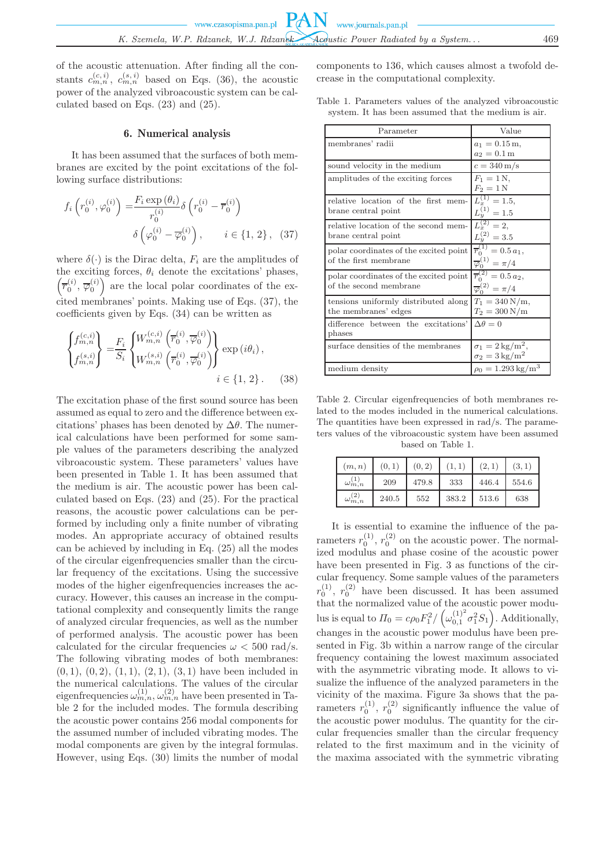of the acoustic attenuation. After finding all the constants  $c_{m,n}^{(c,i)}$ ,  $c_{m,n}^{(s,i)}$  based on Eqs. (36), the acoustic power of the analyzed vibroacoustic system can be calculated based on Eqs. (23) and (25).

# 6. Numerical analysis

It has been assumed that the surfaces of both membranes are excited by the point excitations of the following surface distributions:

$$
f_i\left(r_0^{(i)}, \varphi_0^{(i)}\right) = \frac{F_i \exp\left(\theta_i\right)}{r_0^{(i)}} \delta\left(r_0^{(i)} - \overline{r}_0^{(i)}\right)
$$

$$
\delta\left(\varphi_0^{(i)} - \overline{\varphi}_0^{(i)}\right), \qquad i \in \{1, 2\}, \quad (37)
$$

where  $\delta(\cdot)$  is the Dirac delta,  $F_i$  are the amplitudes of the exciting forces,  $\theta_i$  denote the excitations' phases,  $(\overline{r}_0^{(i)}, \overline{\varphi}_0^{(i)})$  are the local polar coordinates of the excited membranes' points. Making use of Eqs. (37), the coefficients given by Eqs. (34) can be written as

$$
\begin{Bmatrix} f_{m,n}^{(c,i)} \\ f_{m,n}^{(s,i)} \end{Bmatrix} = \frac{F_i}{S_i} \begin{Bmatrix} W_{m,n}^{(c,i)} \left( \overline{r}_0^{(i)}, \overline{\varphi}_0^{(i)} \right) \\ W_{m,n}^{(s,i)} \left( \overline{r}_0^{(i)}, \overline{\varphi}_0^{(i)} \right) \end{Bmatrix} \exp(i\theta_i),
$$
  
 $i \in \{1, 2\}.$  (38)

The excitation phase of the first sound source has been assumed as equal to zero and the difference between excitations' phases has been denoted by  $\Delta\theta$ . The numerical calculations have been performed for some sample values of the parameters describing the analyzed vibroacoustic system. These parameters' values have been presented in Table 1. It has been assumed that the medium is air. The acoustic power has been calculated based on Eqs. (23) and (25). For the practical reasons, the acoustic power calculations can be performed by including only a finite number of vibrating modes. An appropriate accuracy of obtained results can be achieved by including in Eq. (25) all the modes of the circular eigenfrequencies smaller than the circular frequency of the excitations. Using the successive modes of the higher eigenfrequencies increases the accuracy. However, this causes an increase in the computational complexity and consequently limits the range of analyzed circular frequencies, as well as the number of performed analysis. The acoustic power has been calculated for the circular frequencies  $\omega < 500$  rad/s. The following vibrating modes of both membranes:  $(0, 1), (0, 2), (1, 1), (2, 1), (3, 1)$  have been included in the numerical calculations. The values of the circular eigenfrequencies  $\omega_{m,n}^{(1)}$ ,  $\omega_{m,n}^{(2)}$  have been presented in Table 2 for the included modes. The formula describing the acoustic power contains 256 modal components for the assumed number of included vibrating modes. The modal components are given by the integral formulas. However, using Eqs. (30) limits the number of modal

components to 136, which causes almost a twofold decrease in the computational complexity.

Table 1. Parameters values of the analyzed vibroacoustic system. It has been assumed that the medium is air.

| Parameter                                                        | Value                                                                     |  |
|------------------------------------------------------------------|---------------------------------------------------------------------------|--|
| membranes' radii                                                 | $a_1 = 0.15$ m,<br>$a_2 = 0.1 \,\mathrm{m}$                               |  |
| sound velocity in the medium                                     | $c = 340 \,\mathrm{m/s}$                                                  |  |
| amplitudes of the exciting forces                                | $F_1 = 1 N,$<br>$F_2=1\,\mathrm{N}$                                       |  |
| relative location of the first mem-<br>brane central point       | $L_x^{(1)} = 1.5$ ,<br>$L_y^{(1)} = 1.5$                                  |  |
| relative location of the second mem-<br>brane central point      | $L_x^{(2)} = 2,$<br>$L_y^{(2)} = 3.5$                                     |  |
| polar coordinates of the excited point<br>of the first membrane  | $\overline{r}_0^{(1)} = 0.5 a_1,$<br>$\overline{\varphi}_0^{(1)}=\pi/4$   |  |
| polar coordinates of the excited point<br>of the second membrane | $\overline{r}_0^{(2)} = 0.5 a_2,$<br>$\overline{\varphi}_0^{(2)} = \pi/4$ |  |
| tensions uniformly distributed along<br>the membranes' edges     | $T_1 = 340 \,\mathrm{N/m}$ ,<br>$T_2 = 300 \,\mathrm{N/m}$                |  |
| difference between the excitations'<br>phases                    | $\Delta \theta = 0$                                                       |  |
| surface densities of the membranes                               | $\sigma_1 = 2 \,\mathrm{kg/m^2},$<br>$\sigma_2 = 3 \,\mathrm{kg/m^2}$     |  |
| medium density                                                   | $\rho_0 = 1.293 \,\mathrm{kg/m^3}$                                        |  |

Table 2. Circular eigenfrequencies of both membranes related to the modes included in the numerical calculations. The quantities have been expressed in rad/s. The parameters values of the vibroacoustic system have been assumed based on Table 1.

| (m, n)                       | (0, 1) | (0, 2) | (1,1) | (2,1) | (3,1) |
|------------------------------|--------|--------|-------|-------|-------|
| (1)<br>$\omega_{m,n}^{\sim}$ | 209    | 479.8  | 333   | 446.4 | 554.6 |
| (2)<br>$\omega_{m,n}$        | 240.5  | 552    | 383.2 | 513.6 | 638   |

It is essential to examine the influence of the parameters  $r_0^{(1)}$ ,  $r_0^{(2)}$  on the acoustic power. The normalized modulus and phase cosine of the acoustic power have been presented in Fig. 3 as functions of the circular frequency. Some sample values of the parameters  $r_0^{(1)}$ ,  $r_0^{(2)}$  have been discussed. It has been assumed that the normalized value of the acoustic power modulus is equal to  $\Pi_0 = c\rho_0 F_1^2 / (\omega_{0,1}^{(1)^2} \sigma_1^2 S_1)$ . Additionally, changes in the acoustic power modulus have been presented in Fig. 3b within a narrow range of the circular frequency containing the lowest maximum associated with the asymmetric vibrating mode. It allows to visualize the influence of the analyzed parameters in the vicinity of the maxima. Figure 3a shows that the parameters  $r_0^{(1)}$ ,  $r_0^{(2)}$  significantly influence the value of the acoustic power modulus. The quantity for the circular frequencies smaller than the circular frequency related to the first maximum and in the vicinity of the maxima associated with the symmetric vibrating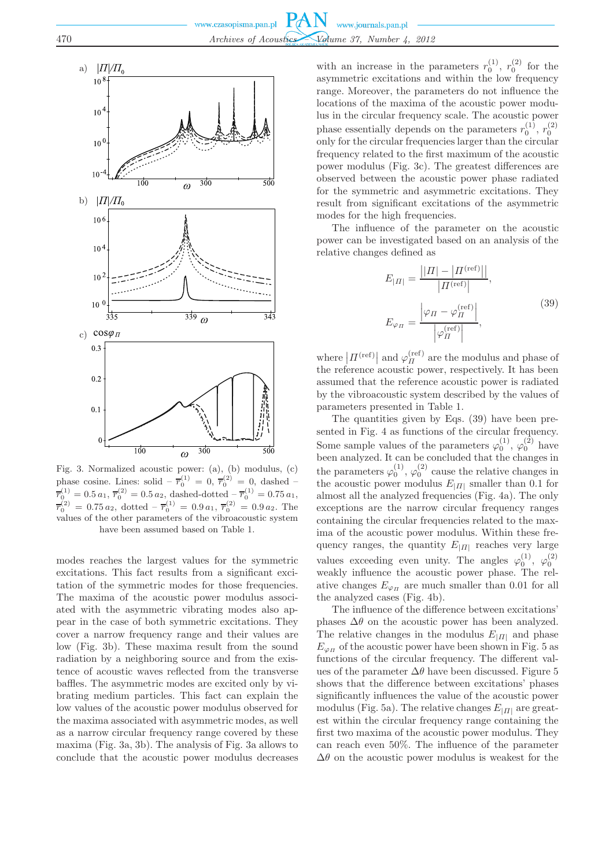

Fig. 3. Normalized acoustic power: (a), (b) modulus, (c) phase cosine. Lines: solid  $-\bar{r}_0^{(1)} = 0, \bar{r}_0^{(2)} = 0$ , dashed  $\overline{r}_0^{(1)}=0.5\,a_1,\,\overline{r}_0^{(2)}=0.5\,a_2,\,{\rm dashed\!dotted}-\overline{r}_0^{(1)}=0.75\,a_1,$  $\overline{r}_0^{(2)} = 0.75 a_2$ , dotted  $-\overline{r}_0^{(1)} = 0.9 a_1$ ,  $\overline{r}_0^{(2)} = 0.9 a_2$ . The values of the other parameters of the vibroacoustic system have been assumed based on Table 1.

modes reaches the largest values for the symmetric excitations. This fact results from a significant excitation of the symmetric modes for those frequencies. The maxima of the acoustic power modulus associated with the asymmetric vibrating modes also appear in the case of both symmetric excitations. They cover a narrow frequency range and their values are low (Fig. 3b). These maxima result from the sound radiation by a neighboring source and from the existence of acoustic waves reflected from the transverse baffles. The asymmetric modes are excited only by vibrating medium particles. This fact can explain the low values of the acoustic power modulus observed for the maxima associated with asymmetric modes, as well as a narrow circular frequency range covered by these maxima (Fig. 3a, 3b). The analysis of Fig. 3a allows to conclude that the acoustic power modulus decreases

with an increase in the parameters  $r_0^{(1)}$ ,  $r_0^{(2)}$  for the asymmetric excitations and within the low frequency range. Moreover, the parameters do not influence the locations of the maxima of the acoustic power modulus in the circular frequency scale. The acoustic power phase essentially depends on the parameters  $r_0^{(1)}$ ,  $r_0^{(2)}$ only for the circular frequencies larger than the circular frequency related to the first maximum of the acoustic power modulus (Fig. 3c). The greatest differences are observed between the acoustic power phase radiated for the symmetric and asymmetric excitations. They result from significant excitations of the asymmetric modes for the high frequencies.

The influence of the parameter on the acoustic power can be investigated based on an analysis of the relative changes defined as

$$
E_{|II|} = \frac{||II| - |II^{(\text{ref})}||}{|II^{(\text{ref})}|},
$$
  
\n
$$
E_{\varphi_{II}} = \frac{\varphi_{II} - \varphi_{II}^{(\text{ref})}}{|\varphi_{II}^{(\text{ref})}|},
$$
\n(39)

where  $\left|I\right|^{(\text{ref})}\right|$  and  $\varphi_{II}^{(\text{ref})}$  are the modulus and phase of the reference acoustic power, respectively. It has been assumed that the reference acoustic power is radiated by the vibroacoustic system described by the values of parameters presented in Table 1.

The quantities given by Eqs. (39) have been presented in Fig. 4 as functions of the circular frequency. Some sample values of the parameters  $\varphi_0^{(1)}$ ,  $\varphi_0^{(2)}$  have been analyzed. It can be concluded that the changes in the parameters  $\varphi_0^{(1)}$ ,  $\varphi_0^{(2)}$  cause the relative changes in the acoustic power modulus  $E_{|I|}$  smaller than 0.1 for almost all the analyzed frequencies (Fig. 4a). The only exceptions are the narrow circular frequency ranges containing the circular frequencies related to the maxima of the acoustic power modulus. Within these frequency ranges, the quantity  $E_{|I|}$  reaches very large values exceeding even unity. The angles  $\varphi_0^{(1)}$ ,  $\varphi_0^{(2)}$ weakly influence the acoustic power phase. The relative changes  $E_{\varphi_{\Pi}}$  are much smaller than 0.01 for all the analyzed cases (Fig. 4b).

The influence of the difference between excitations' phases  $\Delta\theta$  on the acoustic power has been analyzed. The relative changes in the modulus  $E_{|H|}$  and phase  $E_{\varphi_{\Pi}}$  of the acoustic power have been shown in Fig. 5 as functions of the circular frequency. The different values of the parameter  $\Delta\theta$  have been discussed. Figure 5 shows that the difference between excitations' phases significantly influences the value of the acoustic power modulus (Fig. 5a). The relative changes  $E_{H}$  are greatest within the circular frequency range containing the first two maxima of the acoustic power modulus. They can reach even 50%. The influence of the parameter  $\Delta\theta$  on the acoustic power modulus is weakest for the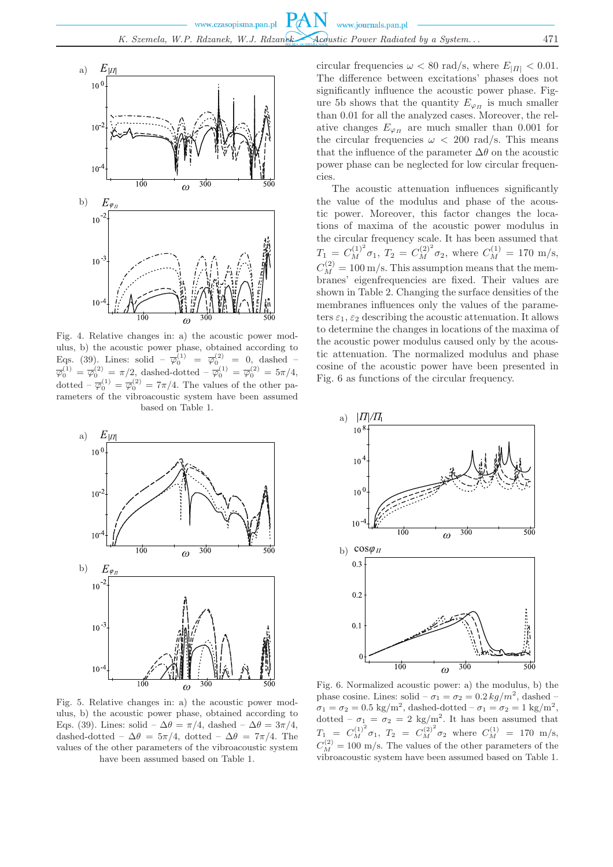

Fig. 4. Relative changes in: a) the acoustic power modulus, b) the acoustic power phase, obtained according to Eqs. (39). Lines: solid –  $\overline{\varphi}_0^{(1)} = \overline{\varphi}_0^{(2)} = 0$ , dashed –  $\overline{\varphi}_0^{(1)} = \overline{\varphi}_0^{(2)} = \pi/2$ , dashed-dotted  $-\overline{\varphi}_0^{(1)} = \overline{\varphi}_0^{(2)} = 5\pi/4$ , dotted  $-\overline{\varphi}_0^{(1)} = \overline{\varphi}_0^{(2)} = 7\pi/4$ . The values of the other parameters of the vibroacoustic system have been assumed based on Table 1.



Fig. 5. Relative changes in: a) the acoustic power modulus, b) the acoustic power phase, obtained according to Eqs. (39). Lines: solid –  $\Delta\theta = \pi/4$ , dashed –  $\Delta\theta = 3\pi/4$ , dashed-dotted –  $\Delta\theta = 5\pi/4$ , dotted –  $\Delta\theta = 7\pi/4$ . The values of the other parameters of the vibroacoustic system have been assumed based on Table 1.

circular frequencies  $\omega < 80$  rad/s, where  $E_{H1} < 0.01$ . The difference between excitations' phases does not significantly influence the acoustic power phase. Figure 5b shows that the quantity  $E_{\varphi_{\Pi}}$  is much smaller than 0.01 for all the analyzed cases. Moreover, the relative changes  $E_{\varphi_{\Pi}}$  are much smaller than 0.001 for the circular frequencies  $\omega$  < 200 rad/s. This means that the influence of the parameter  $\Delta\theta$  on the acoustic power phase can be neglected for low circular frequencies.

The acoustic attenuation influences significantly the value of the modulus and phase of the acoustic power. Moreover, this factor changes the locations of maxima of the acoustic power modulus in the circular frequency scale. It has been assumed that  $T_1 = C_M^{(1)^2} \sigma_1, T_2 = C_M^{(2)^2} \sigma_2$ , where  $C_M^{(1)} = 170$  m/s,  $C_M^{(2)} = 100 \,\mathrm{m/s}$ . This assumption means that the membranes' eigenfrequencies are fixed. Their values are shown in Table 2. Changing the surface densities of the membranes influences only the values of the parameters  $\varepsilon_1$ ,  $\varepsilon_2$  describing the acoustic attenuation. It allows to determine the changes in locations of the maxima of the acoustic power modulus caused only by the acoustic attenuation. The normalized modulus and phase cosine of the acoustic power have been presented in Fig. 6 as functions of the circular frequency.



Fig. 6. Normalized acoustic power: a) the modulus, b) the phase cosine. Lines: solid  $-\sigma_1 = \sigma_2 = 0.2 \, kg/m^2$ , dashed  $-\sigma_1$  $\sigma_1 = \sigma_2 = 0.5 \text{ kg/m}^2$ , dashed-dotted –  $\sigma_1 = \sigma_2 = 1 \text{ kg/m}^2$ , dotted  $-\sigma_1 = \sigma_2 = 2 \text{ kg/m}^2$ . It has been assumed that  $T_1 = C_M^{(1)^2} \sigma_1, T_2 = C_M^{(2)^2} \sigma_2$  where  $C_M^{(1)} = 170$  m/s,  $C_M^{(2)} = 100$  m/s. The values of the other parameters of the vibroacoustic system have been assumed based on Table 1.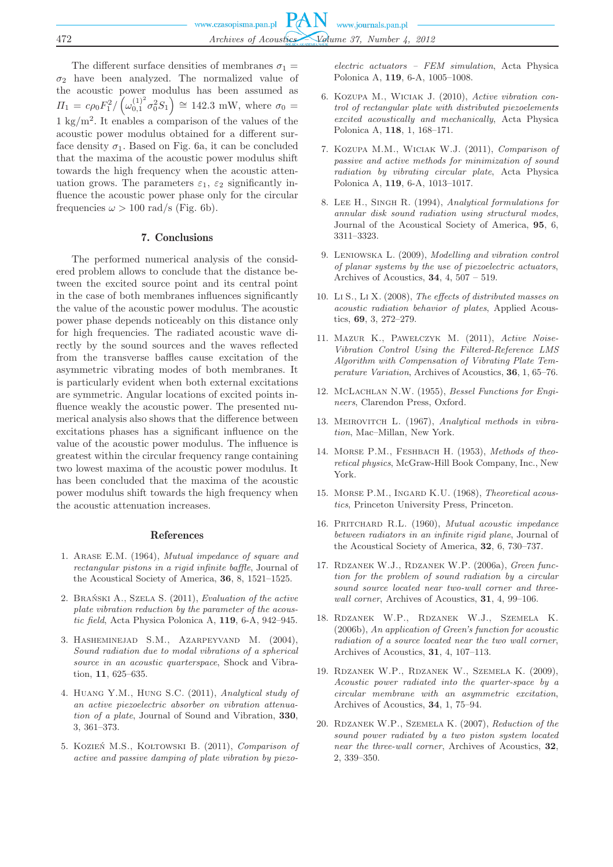The different surface densities of membranes  $\sigma_1 =$  $\sigma_2$  have been analyzed. The normalized value of the acoustic power modulus has been assumed as  $\Pi_1 = c\rho_0 F_1^2 / \left(\omega_{0,1}^{(1)^2} \sigma_0^2 S_1\right) \approx 142.3$  mW, where  $\sigma_0 =$  $1 \text{ kg/m}^2$ . It enables a comparison of the values of the acoustic power modulus obtained for a different surface density  $\sigma_1$ . Based on Fig. 6a, it can be concluded that the maxima of the acoustic power modulus shift towards the high frequency when the acoustic attenuation grows. The parameters  $\varepsilon_1$ ,  $\varepsilon_2$  significantly influence the acoustic power phase only for the circular frequencies  $\omega > 100 \text{ rad/s}$  (Fig. 6b).

#### 7. Conclusions

The performed numerical analysis of the considered problem allows to conclude that the distance between the excited source point and its central point in the case of both membranes influences significantly the value of the acoustic power modulus. The acoustic power phase depends noticeably on this distance only for high frequencies. The radiated acoustic wave directly by the sound sources and the waves reflected from the transverse baffles cause excitation of the asymmetric vibrating modes of both membranes. It is particularly evident when both external excitations are symmetric. Angular locations of excited points influence weakly the acoustic power. The presented numerical analysis also shows that the difference between excitations phases has a significant influence on the value of the acoustic power modulus. The influence is greatest within the circular frequency range containing two lowest maxima of the acoustic power modulus. It has been concluded that the maxima of the acoustic power modulus shift towards the high frequency when the acoustic attenuation increases.

### References

- 1. Arase E.M. (1964), *Mutual impedance of square and rectangular pistons in a rigid infinite baffle*, Journal of the Acoustical Society of America, **36**, 8, 1521–1525.
- 2. Brański A., Szela S. (2011), *Evaluation of the active plate vibration reduction by the parameter of the acoustic field*, Acta Physica Polonica A, **119**, 6-A, 942–945.
- 3. Hasheminejad S.M., Azarpeyvand M. (2004), *Sound radiation due to modal vibrations of a spherical source in an acoustic quarterspace*, Shock and Vibration, **11**, 625–635.
- 4. Huang Y.M., Hung S.C. (2011), *Analytical study of an active piezoelectric absorber on vibration attenuation of a plate*, Journal of Sound and Vibration, **330**, 3, 361–373.
- 5. Kozień M.S., Kołtowski B. (2011), *Comparison of active and passive damping of plate vibration by piezo-*

*electric actuators – FEM simulation*, Acta Physica Polonica A, **119**, 6-A, 1005–1008.

- 6. Kozupa M., Wiciak J. (2010), *Active vibration control of rectangular plate with distributed piezoelements excited acoustically and mechanically*, Acta Physica Polonica A, **118**, 1, 168–171.
- 7. Kozupa M.M., Wiciak W.J. (2011), *Comparison of passive and active methods for minimization of sound radiation by vibrating circular plate*, Acta Physica Polonica A, **119**, 6-A, 1013–1017.
- 8. Lee H., Singh R. (1994), *Analytical formulations for annular disk sound radiation using structural modes*, Journal of the Acoustical Society of America, **95**, 6, 3311–3323.
- 9. Leniowska L. (2009), *Modelling and vibration control of planar systems by the use of piezoelectric actuators*, Archives of Acoustics, **34**, 4, 507 – 519.
- 10. Li S., Li X. (2008), *The effects of distributed masses on acoustic radiation behavior of plates*, Applied Acoustics, **69**, 3, 272–279.
- 11. Mazur K., Pawełczyk M. (2011), *Active Noise-Vibration Control Using the Filtered-Reference LMS Algorithm with Compensation of Vibrating Plate Temperature Variation*, Archives of Acoustics, **36**, 1, 65–76.
- 12. McLachlan N.W. (1955), *Bessel Functions for Engineers*, Clarendon Press, Oxford.
- 13. Meirovitch L. (1967), *Analytical methods in vibration*, Mac–Millan, New York.
- 14. Morse P.M., Feshbach H. (1953), *Methods of theoretical physics*, McGraw-Hill Book Company, Inc., New York.
- 15. Morse P.M., Ingard K.U. (1968), *Theoretical acoustics*, Princeton University Press, Princeton.
- 16. Pritchard R.L. (1960), *Mutual acoustic impedance between radiators in an infinite rigid plane*, Journal of the Acoustical Society of America, **32**, 6, 730–737.
- 17. Rdzanek W.J., Rdzanek W.P. (2006a), *Green function for the problem of sound radiation by a circular sound source located near two-wall corner and threewall corner*, Archives of Acoustics, **31**, 4, 99–106.
- 18. Rdzanek W.P., Rdzanek W.J., Szemela K. (2006b), *An application of Green's function for acoustic radiation of a source located near the two wall corner*, Archives of Acoustics, **31**, 4, 107–113.
- 19. Rdzanek W.P., Rdzanek W., Szemela K. (2009), *Acoustic power radiated into the quarter-space by a circular membrane with an asymmetric excitation*, Archives of Acoustics, **34**, 1, 75–94.
- 20. Rdzanek W.P., Szemela K. (2007), *Reduction of the sound power radiated by a two piston system located near the three-wall corner*, Archives of Acoustics, **32**, 2, 339–350.